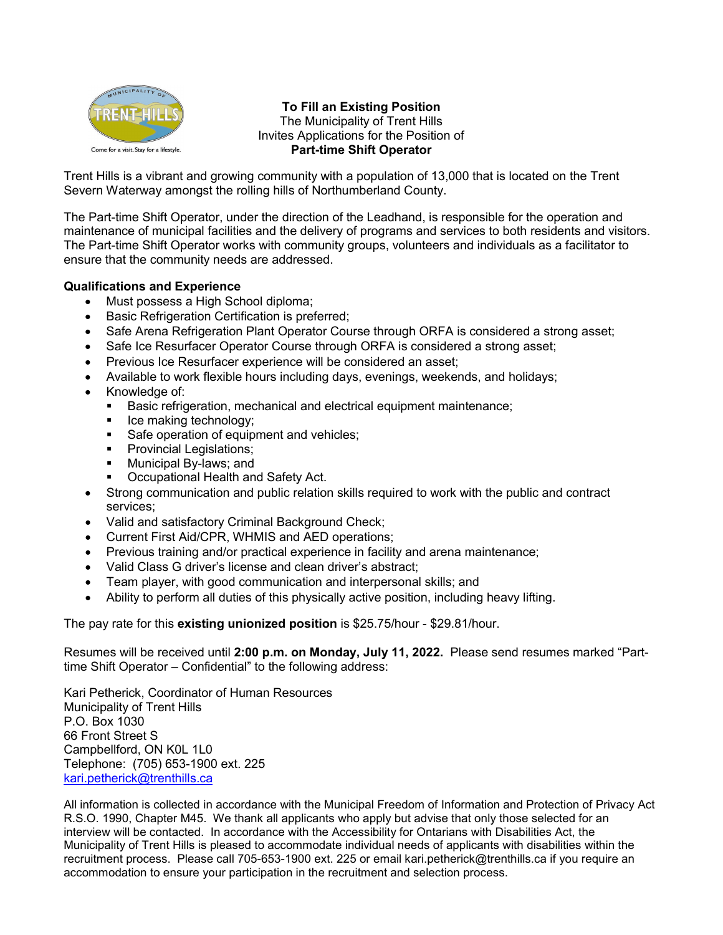

#### **To Fill an Existing Position** The Municipality of Trent Hills Invites Applications for the Position of **Part-time Shift Operator**

Trent Hills is a vibrant and growing community with a population of 13,000 that is located on the Trent Severn Waterway amongst the rolling hills of Northumberland County.

The Part-time Shift Operator, under the direction of the Leadhand, is responsible for the operation and maintenance of municipal facilities and the delivery of programs and services to both residents and visitors. The Part-time Shift Operator works with community groups, volunteers and individuals as a facilitator to ensure that the community needs are addressed.

#### **Qualifications and Experience**

- Must possess a High School diploma;
- Basic Refrigeration Certification is preferred;
- Safe Arena Refrigeration Plant Operator Course through ORFA is considered a strong asset;
- Safe Ice Resurfacer Operator Course through ORFA is considered a strong asset:
- Previous Ice Resurfacer experience will be considered an asset;
- Available to work flexible hours including days, evenings, weekends, and holidays;
- Knowledge of:
	- **Basic refrigeration, mechanical and electrical equipment maintenance;**
	- $\blacksquare$  Ice making technology;
	- Safe operation of equipment and vehicles;
	- **Provincial Legislations;**
	- **Municipal By-laws; and**
	- Occupational Health and Safety Act.
- Strong communication and public relation skills required to work with the public and contract services;
- Valid and satisfactory Criminal Background Check;
- Current First Aid/CPR, WHMIS and AED operations;
- Previous training and/or practical experience in facility and arena maintenance;
- Valid Class G driver's license and clean driver's abstract;
- Team player, with good communication and interpersonal skills; and
- Ability to perform all duties of this physically active position, including heavy lifting.

The pay rate for this **existing unionized position** is \$25.75/hour - \$29.81/hour.

Resumes will be received until **2:00 p.m. on Monday, July 11, 2022.** Please send resumes marked "Parttime Shift Operator – Confidential" to the following address:

Kari Petherick, Coordinator of Human Resources Municipality of Trent Hills P.O. Box 1030 66 Front Street S Campbellford, ON K0L 1L0 Telephone: (705) 653-1900 ext. 225 [kari.petherick@trenthills.ca](mailto:kari.petherick@trenthills.ca)

All information is collected in accordance with the Municipal Freedom of Information and Protection of Privacy Act R.S.O. 1990, Chapter M45. We thank all applicants who apply but advise that only those selected for an interview will be contacted. In accordance with the Accessibility for Ontarians with Disabilities Act, the Municipality of Trent Hills is pleased to accommodate individual needs of applicants with disabilities within the recruitment process. Please call 705-653-1900 ext. 225 or email kari.petherick@trenthills.ca if you require an accommodation to ensure your participation in the recruitment and selection process.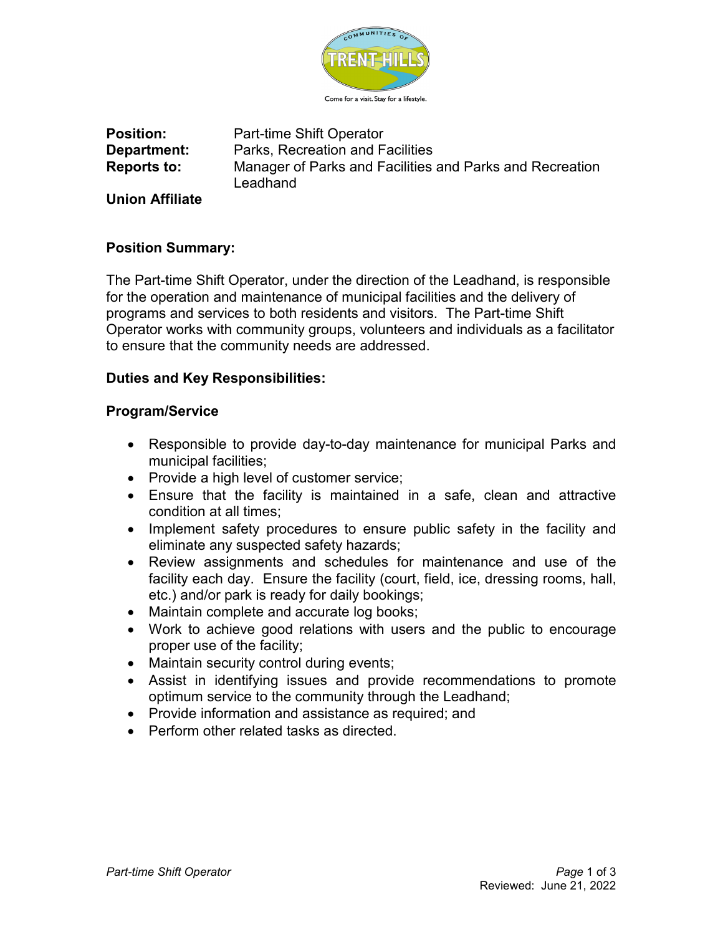

**Position:** Part-time Shift Operator **Department:** Parks, Recreation and Facilities **Reports to:** Manager of Parks and Facilities and Parks and Recreation **Leadhand** 

**Union Affiliate**

## **Position Summary:**

The Part-time Shift Operator, under the direction of the Leadhand, is responsible for the operation and maintenance of municipal facilities and the delivery of programs and services to both residents and visitors. The Part-time Shift Operator works with community groups, volunteers and individuals as a facilitator to ensure that the community needs are addressed.

## **Duties and Key Responsibilities:**

## **Program/Service**

- Responsible to provide day-to-day maintenance for municipal Parks and municipal facilities;
- Provide a high level of customer service;
- Ensure that the facility is maintained in a safe, clean and attractive condition at all times;
- Implement safety procedures to ensure public safety in the facility and eliminate any suspected safety hazards;
- Review assignments and schedules for maintenance and use of the facility each day. Ensure the facility (court, field, ice, dressing rooms, hall, etc.) and/or park is ready for daily bookings;
- Maintain complete and accurate log books;
- Work to achieve good relations with users and the public to encourage proper use of the facility;
- Maintain security control during events;
- Assist in identifying issues and provide recommendations to promote optimum service to the community through the Leadhand;
- Provide information and assistance as required; and
- Perform other related tasks as directed.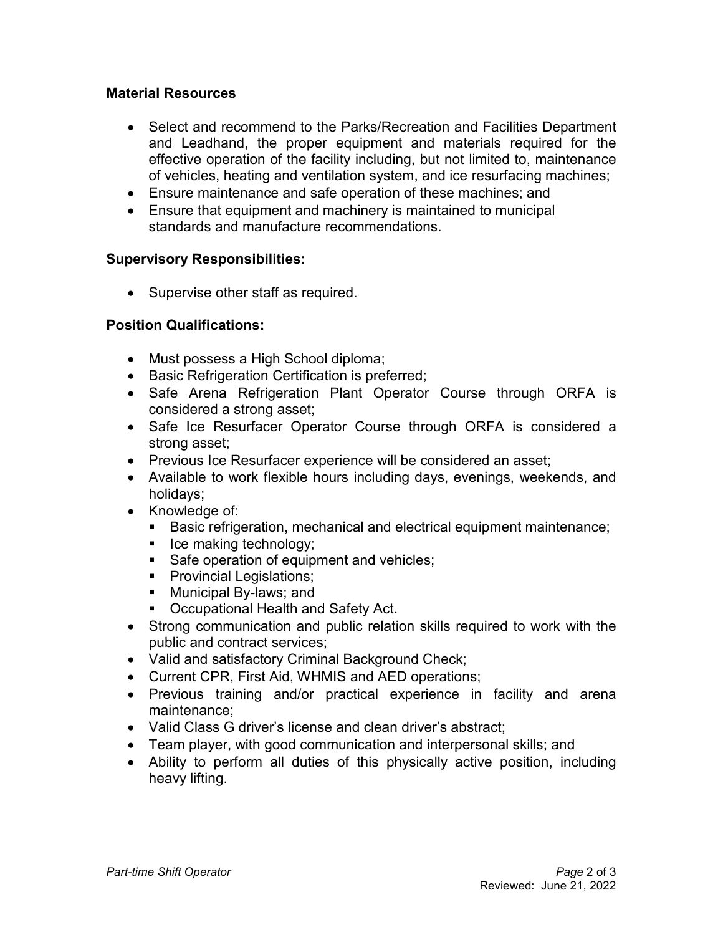## **Material Resources**

- Select and recommend to the Parks/Recreation and Facilities Department and Leadhand, the proper equipment and materials required for the effective operation of the facility including, but not limited to, maintenance of vehicles, heating and ventilation system, and ice resurfacing machines;
- Ensure maintenance and safe operation of these machines; and
- Ensure that equipment and machinery is maintained to municipal standards and manufacture recommendations.

## **Supervisory Responsibilities:**

• Supervise other staff as required.

## **Position Qualifications:**

- Must possess a High School diploma;
- Basic Refrigeration Certification is preferred;
- Safe Arena Refrigeration Plant Operator Course through ORFA is considered a strong asset;
- Safe Ice Resurfacer Operator Course through ORFA is considered a strong asset;
- Previous Ice Resurfacer experience will be considered an asset;
- Available to work flexible hours including days, evenings, weekends, and holidays;
- Knowledge of:
	- **Basic refrigeration, mechanical and electrical equipment maintenance;**
	- **I** Ice making technology;
	- Safe operation of equipment and vehicles;
	- **Provincial Legislations;**
	- **Municipal By-laws; and**
	- Occupational Health and Safety Act.
- Strong communication and public relation skills required to work with the public and contract services;
- Valid and satisfactory Criminal Background Check;
- Current CPR, First Aid, WHMIS and AED operations;
- Previous training and/or practical experience in facility and arena maintenance;
- Valid Class G driver's license and clean driver's abstract;
- Team player, with good communication and interpersonal skills; and
- Ability to perform all duties of this physically active position, including heavy lifting.